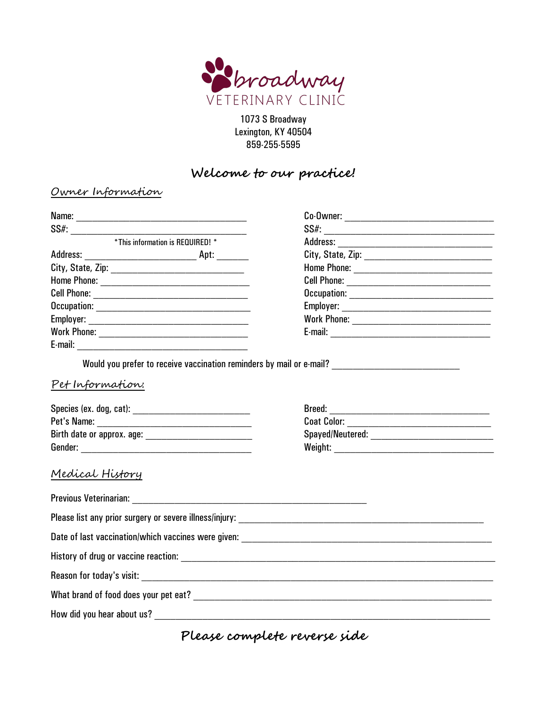

1073 S Broadway Lexington, KY 40504 859-255-5595

## **Welcome to our practice!**

## Owner Information

| *This information is REQUIRED! * |                                                                                                     |
|----------------------------------|-----------------------------------------------------------------------------------------------------|
|                                  |                                                                                                     |
|                                  |                                                                                                     |
|                                  |                                                                                                     |
|                                  |                                                                                                     |
|                                  |                                                                                                     |
|                                  |                                                                                                     |
|                                  |                                                                                                     |
|                                  |                                                                                                     |
| Pet Information:                 | Would you prefer to receive vaccination reminders by mail or e-mail? ______________________________ |
|                                  |                                                                                                     |
|                                  | Coat Color: ________________________________                                                        |
|                                  |                                                                                                     |
|                                  |                                                                                                     |
| Medical History                  |                                                                                                     |
|                                  |                                                                                                     |
|                                  |                                                                                                     |
|                                  |                                                                                                     |
|                                  |                                                                                                     |
|                                  |                                                                                                     |
|                                  |                                                                                                     |
|                                  |                                                                                                     |

**Please complete reverse side**